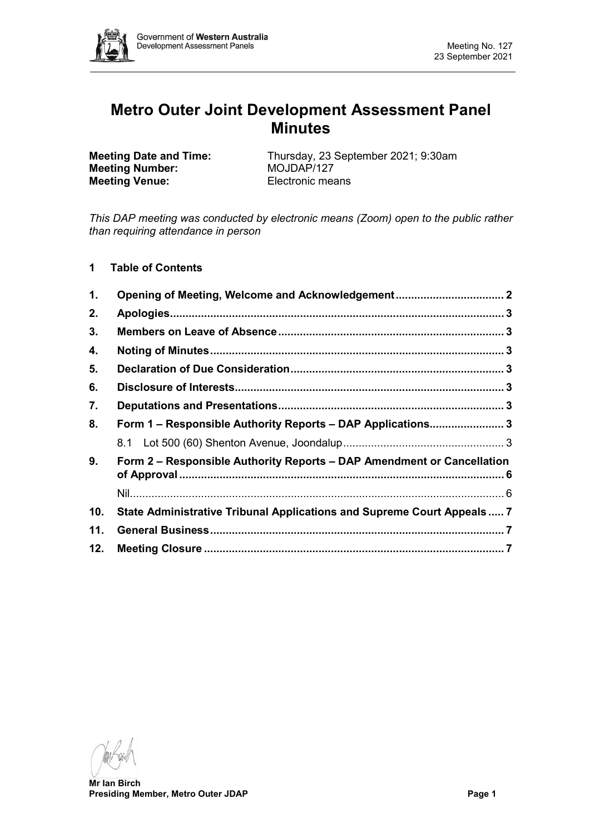

# **Metro Outer Joint Development Assessment Panel Minutes**

**Meeting Number: Meeting Venue:** Electronic means

**Meeting Date and Time:** Thursday, 23 September 2021; 9:30am<br>**MOJDAP/127** 

*This DAP meeting was conducted by electronic means (Zoom) open to the public rather than requiring attendance in person*

**1 Table of Contents**

| $\mathbf 1$ . | Opening of Meeting, Welcome and Acknowledgement 2                       |  |  |  |
|---------------|-------------------------------------------------------------------------|--|--|--|
| 2.            |                                                                         |  |  |  |
| 3.            |                                                                         |  |  |  |
| 4.            |                                                                         |  |  |  |
| 5.            |                                                                         |  |  |  |
| 6.            |                                                                         |  |  |  |
| 7.            |                                                                         |  |  |  |
| 8.            | Form 1 - Responsible Authority Reports - DAP Applications 3             |  |  |  |
|               |                                                                         |  |  |  |
| 9.            | Form 2 - Responsible Authority Reports - DAP Amendment or Cancellation  |  |  |  |
|               |                                                                         |  |  |  |
| 10.           | State Administrative Tribunal Applications and Supreme Court Appeals  7 |  |  |  |
| 11.           |                                                                         |  |  |  |
| 12.           |                                                                         |  |  |  |

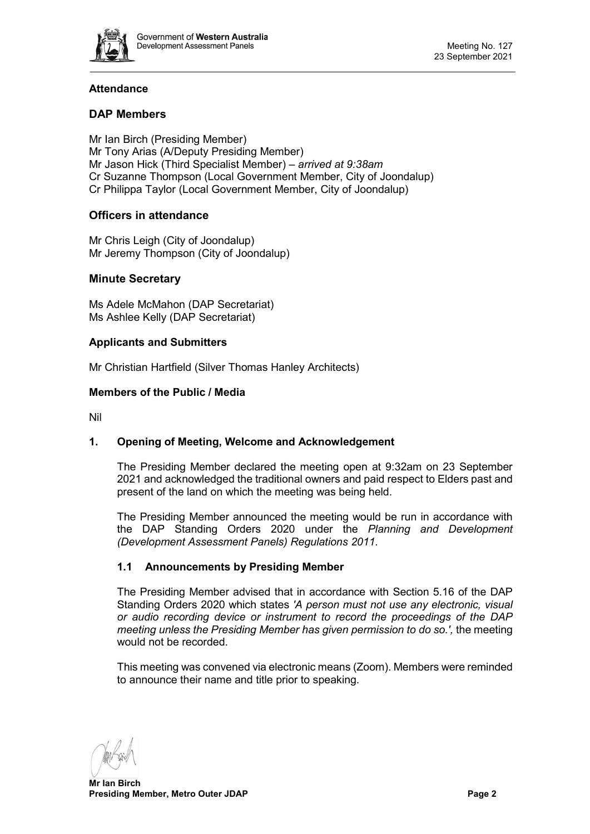

# **Attendance**

# **DAP Members**

Mr Ian Birch (Presiding Member) Mr Tony Arias (A/Deputy Presiding Member) Mr Jason Hick (Third Specialist Member) – *arrived at 9:38am* Cr Suzanne Thompson (Local Government Member, City of Joondalup) Cr Philippa Taylor (Local Government Member, City of Joondalup)

# **Officers in attendance**

Mr Chris Leigh (City of Joondalup) Mr Jeremy Thompson (City of Joondalup)

## **Minute Secretary**

Ms Adele McMahon (DAP Secretariat) Ms Ashlee Kelly (DAP Secretariat)

#### **Applicants and Submitters**

Mr Christian Hartfield (Silver Thomas Hanley Architects)

#### **Members of the Public / Media**

<span id="page-1-0"></span>Nil

## **1. Opening of Meeting, Welcome and Acknowledgement**

The Presiding Member declared the meeting open at 9:32am on 23 September 2021 and acknowledged the traditional owners and paid respect to Elders past and present of the land on which the meeting was being held.

The Presiding Member announced the meeting would be run in accordance with the DAP Standing Orders 2020 under the *Planning and Development (Development Assessment Panels) Regulations 2011.*

## **1.1 Announcements by Presiding Member**

The Presiding Member advised that in accordance with Section 5.16 of the DAP Standing Orders 2020 which states *'A person must not use any electronic, visual or audio recording device or instrument to record the proceedings of the DAP meeting unless the Presiding Member has given permission to do so.',* the meeting would not be recorded.

This meeting was convened via electronic means (Zoom). Members were reminded to announce their name and title prior to speaking.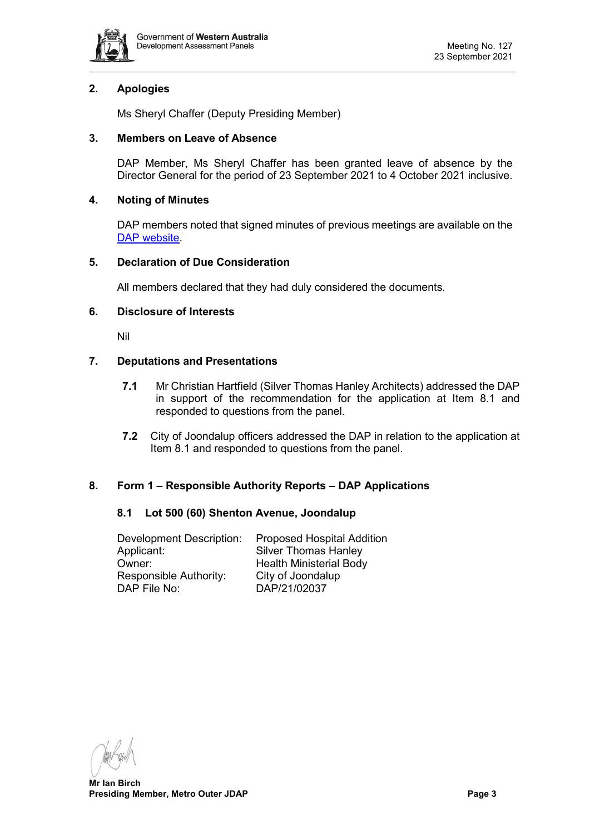

# <span id="page-2-0"></span>**2. Apologies**

Ms Sheryl Chaffer (Deputy Presiding Member)

## <span id="page-2-1"></span>**3. Members on Leave of Absence**

DAP Member, Ms Sheryl Chaffer has been granted leave of absence by the Director General for the period of 23 September 2021 to 4 October 2021 inclusive.

## <span id="page-2-2"></span>**4. Noting of Minutes**

DAP members noted that signed minutes of previous meetings are available on the [DAP website.](https://www.dplh.wa.gov.au/about/development-assessment-panels/daps-agendas-and-minutes)

## <span id="page-2-3"></span>**5. Declaration of Due Consideration**

All members declared that they had duly considered the documents.

## <span id="page-2-4"></span>**6. Disclosure of Interests**

Nil

## <span id="page-2-5"></span>**7. Deputations and Presentations**

- **7.1** Mr Christian Hartfield (Silver Thomas Hanley Architects) addressed the DAP in support of the recommendation for the application at Item 8.1 and responded to questions from the panel.
- **7.2** City of Joondalup officers addressed the DAP in relation to the application at Item 8.1 and responded to questions from the panel.

## <span id="page-2-7"></span><span id="page-2-6"></span>**8. Form 1 – Responsible Authority Reports – DAP Applications**

## **8.1 Lot 500 (60) Shenton Avenue, Joondalup**

| <b>Development Description:</b> | <b>Proposed Hospital Addition</b> |
|---------------------------------|-----------------------------------|
| Applicant:                      | <b>Silver Thomas Hanley</b>       |
| Owner:                          | <b>Health Ministerial Body</b>    |
| Responsible Authority:          | City of Joondalup                 |
| DAP File No:                    | DAP/21/02037                      |

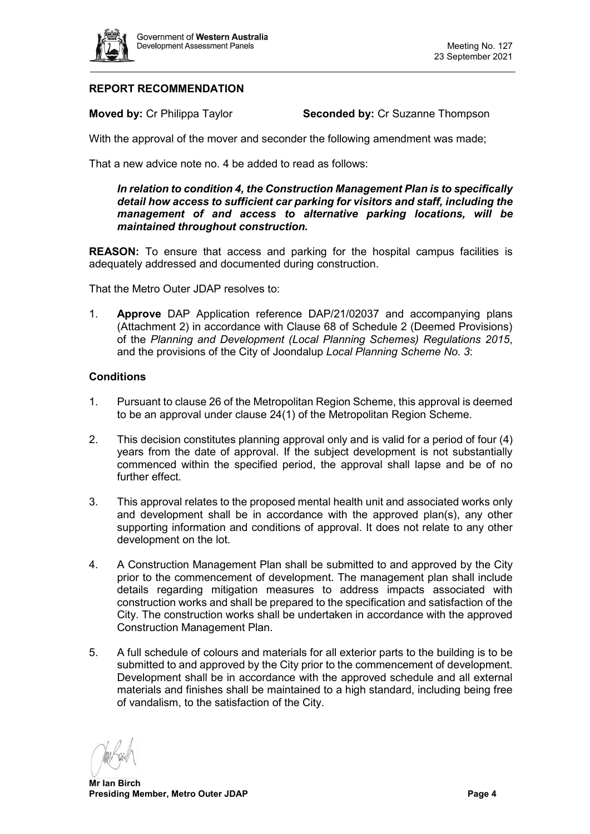

# **REPORT RECOMMENDATION**

**Moved by: Cr Philippa Taylor <b>Seconded by: Cr Suzanne Thompson** 

With the approval of the mover and seconder the following amendment was made;

That a new advice note no. 4 be added to read as follows:

*In relation to condition 4, the Construction Management Plan is to specifically detail how access to sufficient car parking for visitors and staff, including the management of and access to alternative parking locations, will be maintained throughout construction.*

**REASON:** To ensure that access and parking for the hospital campus facilities is adequately addressed and documented during construction.

That the Metro Outer JDAP resolves to:

1. **Approve** DAP Application reference DAP/21/02037 and accompanying plans (Attachment 2) in accordance with Clause 68 of Schedule 2 (Deemed Provisions) of the *Planning and Development (Local Planning Schemes) Regulations 2015*, and the provisions of the City of Joondalup *Local Planning Scheme No. 3*:

#### **Conditions**

- 1. Pursuant to clause 26 of the Metropolitan Region Scheme, this approval is deemed to be an approval under clause 24(1) of the Metropolitan Region Scheme.
- 2. This decision constitutes planning approval only and is valid for a period of four (4) years from the date of approval. If the subject development is not substantially commenced within the specified period, the approval shall lapse and be of no further effect.
- 3. This approval relates to the proposed mental health unit and associated works only and development shall be in accordance with the approved plan(s), any other supporting information and conditions of approval. It does not relate to any other development on the lot.
- 4. A Construction Management Plan shall be submitted to and approved by the City prior to the commencement of development. The management plan shall include details regarding mitigation measures to address impacts associated with construction works and shall be prepared to the specification and satisfaction of the City. The construction works shall be undertaken in accordance with the approved Construction Management Plan.
- 5. A full schedule of colours and materials for all exterior parts to the building is to be submitted to and approved by the City prior to the commencement of development. Development shall be in accordance with the approved schedule and all external materials and finishes shall be maintained to a high standard, including being free of vandalism, to the satisfaction of the City.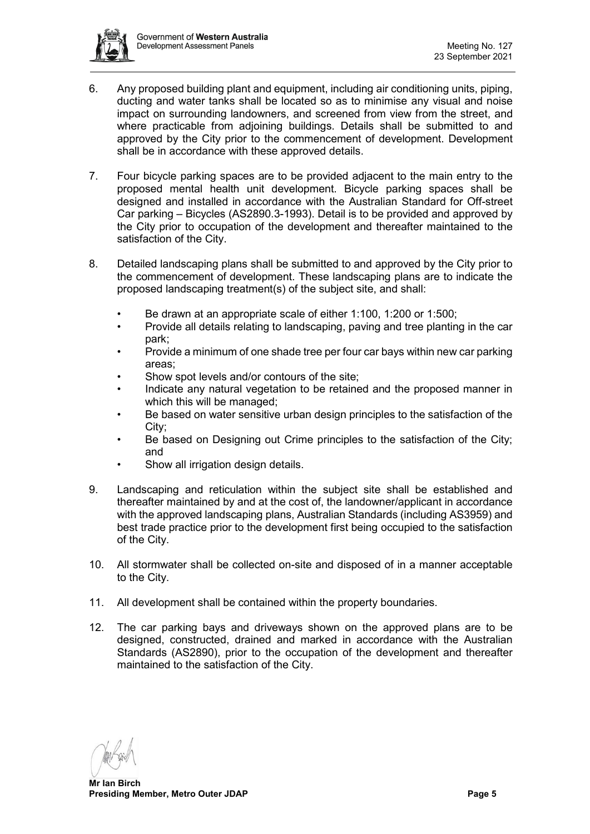

- 6. Any proposed building plant and equipment, including air conditioning units, piping, ducting and water tanks shall be located so as to minimise any visual and noise impact on surrounding landowners, and screened from view from the street, and where practicable from adjoining buildings. Details shall be submitted to and approved by the City prior to the commencement of development. Development shall be in accordance with these approved details.
- 7. Four bicycle parking spaces are to be provided adjacent to the main entry to the proposed mental health unit development. Bicycle parking spaces shall be designed and installed in accordance with the Australian Standard for Off-street Car parking – Bicycles (AS2890.3-1993). Detail is to be provided and approved by the City prior to occupation of the development and thereafter maintained to the satisfaction of the City.
- 8. Detailed landscaping plans shall be submitted to and approved by the City prior to the commencement of development. These landscaping plans are to indicate the proposed landscaping treatment(s) of the subject site, and shall:
	- Be drawn at an appropriate scale of either 1:100, 1:200 or 1:500;
	- Provide all details relating to landscaping, paving and tree planting in the car park;
	- Provide a minimum of one shade tree per four car bays within new car parking areas;
	- Show spot levels and/or contours of the site:
	- Indicate any natural vegetation to be retained and the proposed manner in which this will be managed;
	- Be based on water sensitive urban design principles to the satisfaction of the City;
	- Be based on Designing out Crime principles to the satisfaction of the City; and
	- Show all irrigation design details.
- 9. Landscaping and reticulation within the subject site shall be established and thereafter maintained by and at the cost of, the landowner/applicant in accordance with the approved landscaping plans, Australian Standards (including AS3959) and best trade practice prior to the development first being occupied to the satisfaction of the City.
- 10. All stormwater shall be collected on-site and disposed of in a manner acceptable to the City.
- 11. All development shall be contained within the property boundaries.
- 12. The car parking bays and driveways shown on the approved plans are to be designed, constructed, drained and marked in accordance with the Australian Standards (AS2890), prior to the occupation of the development and thereafter maintained to the satisfaction of the City.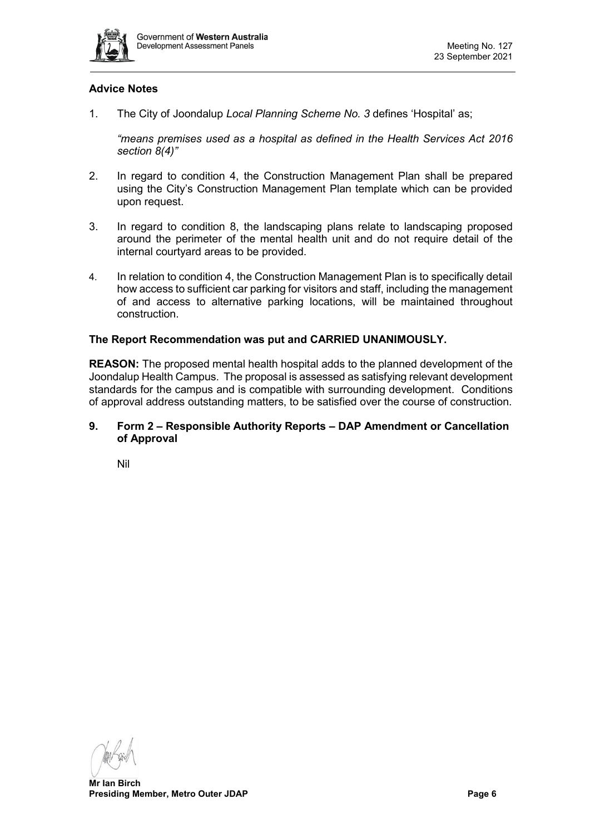

## **Advice Notes**

1. The City of Joondalup *Local Planning Scheme No. 3* defines 'Hospital' as;

*"means premises used as a hospital as defined in the Health Services Act 2016 section 8(4)"*

- 2. In regard to condition 4, the Construction Management Plan shall be prepared using the City's Construction Management Plan template which can be provided upon request.
- 3. In regard to condition 8, the landscaping plans relate to landscaping proposed around the perimeter of the mental health unit and do not require detail of the internal courtyard areas to be provided.
- 4. In relation to condition 4, the Construction Management Plan is to specifically detail how access to sufficient car parking for visitors and staff, including the management of and access to alternative parking locations, will be maintained throughout construction.

#### **The Report Recommendation was put and CARRIED UNANIMOUSLY.**

**REASON:** The proposed mental health hospital adds to the planned development of the Joondalup Health Campus. The proposal is assessed as satisfying relevant development standards for the campus and is compatible with surrounding development. Conditions of approval address outstanding matters, to be satisfied over the course of construction.

#### <span id="page-5-0"></span>**9. Form 2 – Responsible Authority Reports – DAP Amendment or Cancellation of Approval**

<span id="page-5-1"></span>Nil